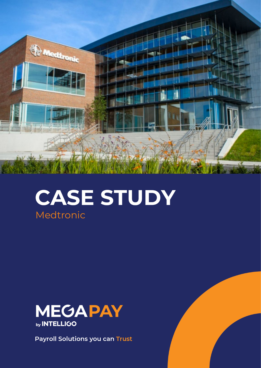

# **CASE STUDY** Medtronic



**Payroll Solutions you can Trust**